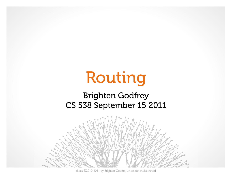# Routing

#### Brighten Godfrey CS 538 September 15 2011



slides ©2010-2011 by Brighten Godfrey unless otherwise noted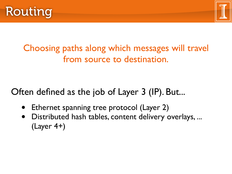



Choosing paths along which messages will travel from source to destination.

Often defined as the job of Layer 3 (IP). But...

- Ethernet spanning tree protocol (Layer 2)
- Distributed hash tables, content delivery overlays, ... (Layer 4+)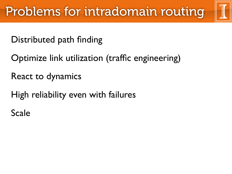Distributed path finding

Optimize link utilization (traffic engineering)

React to dynamics

High reliability even with failures

Scale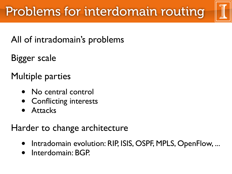## All of intradomain's problems

Bigger scale

Multiple parties

- No central control
- Conflicting interests
- **Attacks**

## Harder to change architecture

- Intradomain evolution: RIP, ISIS, OSPF, MPLS, OpenFlow, ...
- Interdomain: BGP.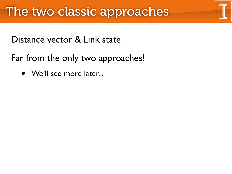Distance vector & Link state

Far from the only two approaches!

• We'll see more later...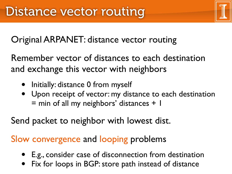Original ARPANET: distance vector routing

Remember vector of distances to each destination and exchange this vector with neighbors

- Initially: distance 0 from myself
- Upon receipt of vector: my distance to each destination  $=$  min of all my neighbors' distances  $+$  1

Send packet to neighbor with lowest dist.

### Slow convergence and looping problems

- E.g., consider case of disconnection from destination
- Fix for loops in BGP: store path instead of distance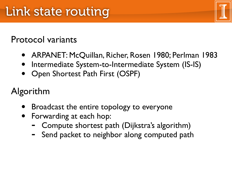## Protocol variants

- ARPANET: McQuillan, Richer, Rosen 1980; Perlman 1983
- Intermediate System-to-Intermediate System (IS-IS)
- Open Shortest Path First (OSPF)

Algorithm

- Broadcast the entire topology to everyone
- Forwarding at each hop:
	- Compute shortest path (Dijkstra's algorithm)
	- Send packet to neighbor along computed path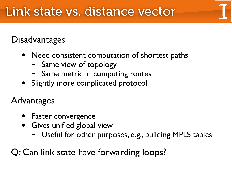## **Disadvantages**

- Need consistent computation of shortest paths
	- Same view of topology
	- Same metric in computing routes
- Slightly more complicated protocol

## Advantages

- Faster convergence
- Gives unified global view
	- Useful for other purposes, e.g., building MPLS tables

Q: Can link state have forwarding loops?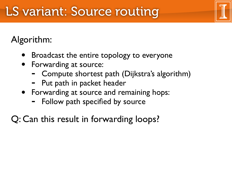## LS variant: Source routing

## Algorithm:

- Broadcast the entire topology to everyone
- Forwarding at source:
	- Compute shortest path (Dijkstra's algorithm)
	- Put path in packet header
- Forwarding at source and remaining hops:
	- Follow path specified by source
- Q: Can this result in forwarding loops?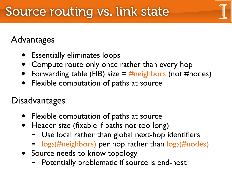## Advantages

- Essentially eliminates loops
- Compute route only once rather than every hop
- Forwarding table (FIB) size  $=$  #neighbors (not #nodes)
- Flexible computation of paths at source

## **Disadvantages**

- Flexible computation of paths at source
- Header size (fixable if paths not too long)
	- Use local rather than global next-hop identifiers
	- $log_2$ (#neighbors) per hop rather than  $log_2$ (#nodes)
- Source needs to know topology
	- Potentially problematic if source is end-host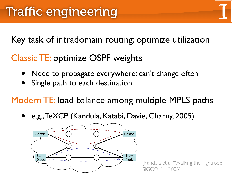Key task of intradomain routing: optimize utilization

Classic TE: optimize OSPF weights

- Need to propagate everywhere: can't change often **WALKING THE TIGHTLE STATE** 
	- Single path to each destination

Modern TE: load balance among multiple MPLS paths UCIII I L.I alance am  $\alpha$ iance  $\alpha$ in

· e.g., TeXCP (Kandula, Katabi, Davie, Charny, 2005)



[Kandula et al, "Walking the Tightrope", SIGCOMM 2005]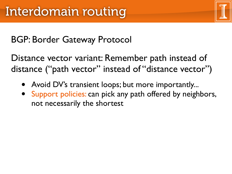## BGP: Border Gateway Protocol

Distance vector variant: Remember path instead of distance ("path vector" instead of "distance vector")

- Avoid DV's transient loops; but more importantly...
- Support policies: can pick any path offered by neighbors, not necessarily the shortest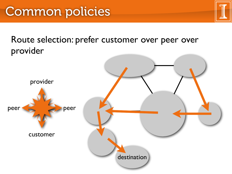Route selection: prefer customer over peer over provider

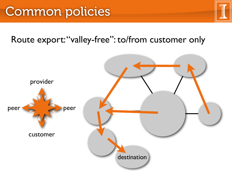## Common policies

## Route export: "valley-free": to/from customer only